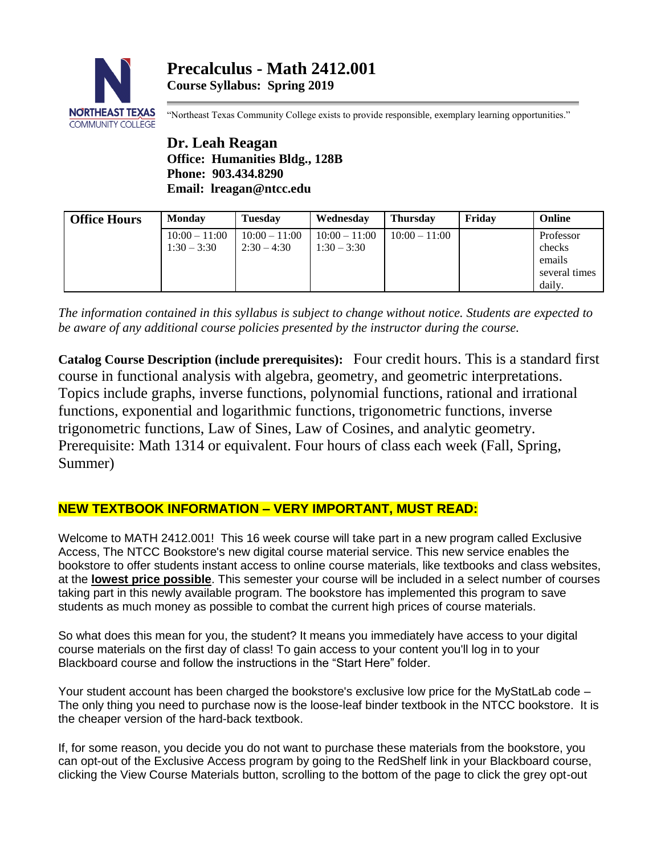

"Northeast Texas Community College exists to provide responsible, exemplary learning opportunities."

**Dr. Leah Reagan Office: Humanities Bldg., 128B Phone: 903.434.8290 Email: lreagan@ntcc.edu**

| <b>Office Hours</b> | <b>Monday</b>   | <b>Tuesday</b>  | Wednesday       | <b>Thursday</b> | Fridav | Online        |
|---------------------|-----------------|-----------------|-----------------|-----------------|--------|---------------|
|                     | $10:00 - 11:00$ | $10:00 - 11:00$ | $10:00 - 11:00$ | $10:00 - 11:00$ |        | Professor     |
|                     | $1:30 - 3:30$   | $2:30 - 4:30$   | $1:30 - 3:30$   |                 |        | checks        |
|                     |                 |                 |                 |                 |        | emails        |
|                     |                 |                 |                 |                 |        | several times |
|                     |                 |                 |                 |                 |        | daily.        |

*The information contained in this syllabus is subject to change without notice. Students are expected to be aware of any additional course policies presented by the instructor during the course.*

**Catalog Course Description (include prerequisites):** Four credit hours. This is a standard first course in functional analysis with algebra, geometry, and geometric interpretations. Topics include graphs, inverse functions, polynomial functions, rational and irrational functions, exponential and logarithmic functions, trigonometric functions, inverse trigonometric functions, Law of Sines, Law of Cosines, and analytic geometry. Prerequisite: Math 1314 or equivalent. Four hours of class each week (Fall, Spring, Summer)

# **NEW TEXTBOOK INFORMATION – VERY IMPORTANT, MUST READ:**

Welcome to MATH 2412.001! This 16 week course will take part in a new program called Exclusive Access, The NTCC Bookstore's new digital course material service. This new service enables the bookstore to offer students instant access to online course materials, like textbooks and class websites, at the **lowest price possible**. This semester your course will be included in a select number of courses taking part in this newly available program. The bookstore has implemented this program to save students as much money as possible to combat the current high prices of course materials.

So what does this mean for you, the student? It means you immediately have access to your digital course materials on the first day of class! To gain access to your content you'll log in to your Blackboard course and follow the instructions in the "Start Here" folder.

Your student account has been charged the bookstore's exclusive low price for the MyStatLab code – The only thing you need to purchase now is the loose-leaf binder textbook in the NTCC bookstore. It is the cheaper version of the hard-back textbook.

If, for some reason, you decide you do not want to purchase these materials from the bookstore, you can opt-out of the Exclusive Access program by going to the RedShelf link in your Blackboard course, clicking the View Course Materials button, scrolling to the bottom of the page to click the grey opt-out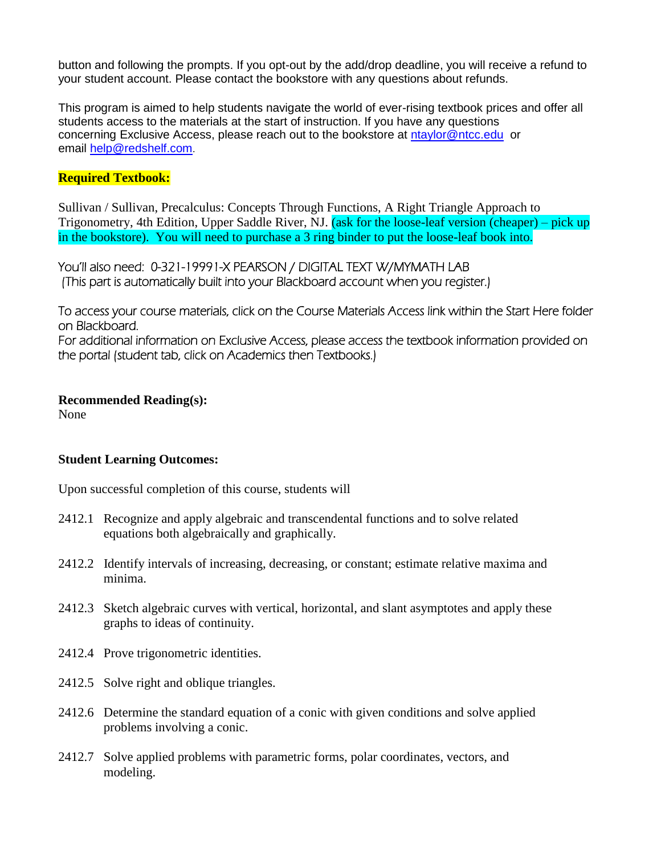button and following the prompts. If you opt-out by the add/drop deadline, you will receive a refund to your student account. Please contact the bookstore with any questions about refunds.

This program is aimed to help students navigate the world of ever-rising textbook prices and offer all students access to the materials at the start of instruction. If you have any questions concerning Exclusive Access, please reach out to the bookstore at [ntaylor@ntcc.edu](mailto:ntaylor@ntcc.edu) or email [help@redshelf.com](mailto:help@redshelf.com).

# **Required Textbook:**

Sullivan / Sullivan, Precalculus: Concepts Through Functions, A Right Triangle Approach to Trigonometry, 4th Edition, Upper Saddle River, NJ. (ask for the loose-leaf version (cheaper) – pick up in the bookstore). You will need to purchase a 3 ring binder to put the loose-leaf book into.

You'll also need: 0-321-19991-X PEARSON / DIGITAL TEXT W/MYMATH LAB (This part is automatically built into your Blackboard account when you register.)

To access your course materials, click on the Course Materials Access link within the Start Here folder on Blackboard.

For additional information on Exclusive Access, please access the textbook information provided on the portal (student tab, click on Academics then Textbooks.)

## **Recommended Reading(s):**

None

# **Student Learning Outcomes:**

Upon successful completion of this course, students will

- 2412.1 Recognize and apply algebraic and transcendental functions and to solve related equations both algebraically and graphically.
- 2412.2 Identify intervals of increasing, decreasing, or constant; estimate relative maxima and minima.
- 2412.3 Sketch algebraic curves with vertical, horizontal, and slant asymptotes and apply these graphs to ideas of continuity.
- 2412.4 Prove trigonometric identities.
- 2412.5 Solve right and oblique triangles.
- 2412.6 Determine the standard equation of a conic with given conditions and solve applied problems involving a conic.
- 2412.7 Solve applied problems with parametric forms, polar coordinates, vectors, and modeling.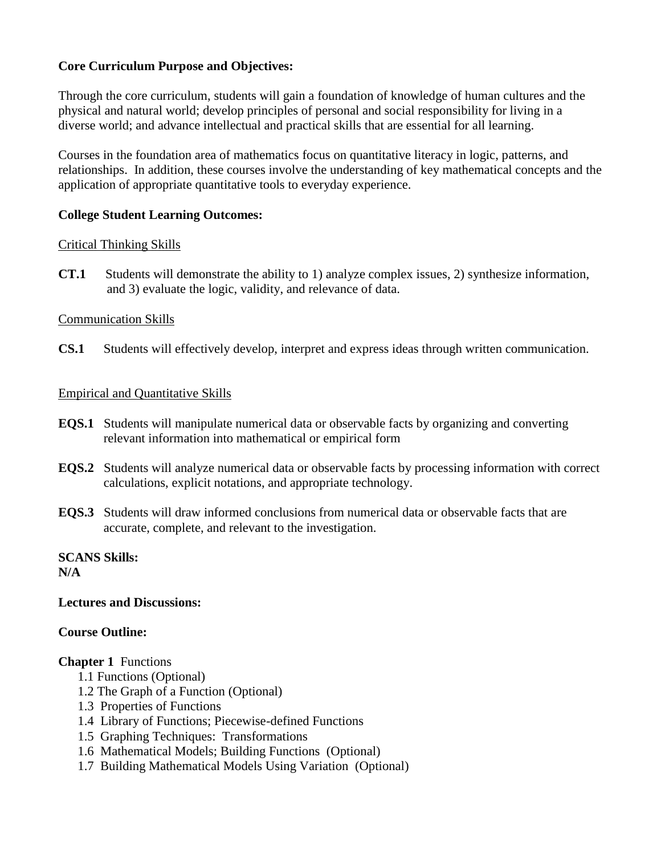# **Core Curriculum Purpose and Objectives:**

Through the core curriculum, students will gain a foundation of knowledge of human cultures and the physical and natural world; develop principles of personal and social responsibility for living in a diverse world; and advance intellectual and practical skills that are essential for all learning.

Courses in the foundation area of mathematics focus on quantitative literacy in logic, patterns, and relationships. In addition, these courses involve the understanding of key mathematical concepts and the application of appropriate quantitative tools to everyday experience.

# **College Student Learning Outcomes:**

## Critical Thinking Skills

**CT.1** Students will demonstrate the ability to 1) analyze complex issues, 2) synthesize information, and 3) evaluate the logic, validity, and relevance of data.

## Communication Skills

**CS.1** Students will effectively develop, interpret and express ideas through written communication.

## Empirical and Quantitative Skills

- **EQS.1** Students will manipulate numerical data or observable facts by organizing and converting relevant information into mathematical or empirical form
- **EQS.2** Students will analyze numerical data or observable facts by processing information with correct calculations, explicit notations, and appropriate technology.
- **EQS.3** Students will draw informed conclusions from numerical data or observable facts that are accurate, complete, and relevant to the investigation.

#### **SCANS Skills: N/A**

### **Lectures and Discussions:**

## **Course Outline:**

### **Chapter 1** Functions

- 1.1 Functions (Optional)
- 1.2 The Graph of a Function (Optional)
- 1.3 Properties of Functions
- 1.4 Library of Functions; Piecewise-defined Functions
- 1.5 Graphing Techniques: Transformations
- 1.6 Mathematical Models; Building Functions (Optional)
- 1.7 Building Mathematical Models Using Variation (Optional)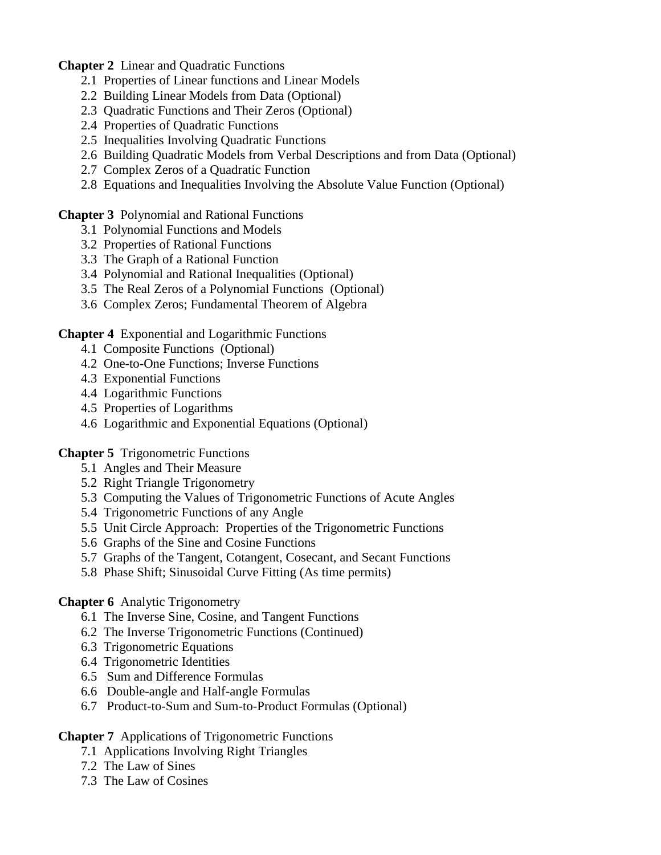**Chapter 2** Linear and Quadratic Functions

- 2.1 Properties of Linear functions and Linear Models
- 2.2 Building Linear Models from Data (Optional)
- 2.3 Quadratic Functions and Their Zeros (Optional)
- 2.4 Properties of Quadratic Functions
- 2.5 Inequalities Involving Quadratic Functions
- 2.6 Building Quadratic Models from Verbal Descriptions and from Data (Optional)
- 2.7 Complex Zeros of a Quadratic Function
- 2.8 Equations and Inequalities Involving the Absolute Value Function (Optional)

**Chapter 3** Polynomial and Rational Functions

- 3.1 Polynomial Functions and Models
- 3.2 Properties of Rational Functions
- 3.3 The Graph of a Rational Function
- 3.4 Polynomial and Rational Inequalities (Optional)
- 3.5 The Real Zeros of a Polynomial Functions (Optional)
- 3.6 Complex Zeros; Fundamental Theorem of Algebra

**Chapter 4** Exponential and Logarithmic Functions

- 4.1 Composite Functions (Optional)
- 4.2 One-to-One Functions; Inverse Functions
- 4.3 Exponential Functions
- 4.4 Logarithmic Functions
- 4.5 Properties of Logarithms
- 4.6 Logarithmic and Exponential Equations (Optional)

**Chapter 5** Trigonometric Functions

- 5.1 Angles and Their Measure
- 5.2 Right Triangle Trigonometry
- 5.3 Computing the Values of Trigonometric Functions of Acute Angles
- 5.4 Trigonometric Functions of any Angle
- 5.5 Unit Circle Approach: Properties of the Trigonometric Functions
- 5.6 Graphs of the Sine and Cosine Functions
- 5.7 Graphs of the Tangent, Cotangent, Cosecant, and Secant Functions
- 5.8 Phase Shift; Sinusoidal Curve Fitting (As time permits)

### **Chapter 6** Analytic Trigonometry

- 6.1 The Inverse Sine, Cosine, and Tangent Functions
- 6.2 The Inverse Trigonometric Functions (Continued)
- 6.3 Trigonometric Equations
- 6.4 Trigonometric Identities
- 6.5 Sum and Difference Formulas
- 6.6 Double-angle and Half-angle Formulas
- 6.7 Product-to-Sum and Sum-to-Product Formulas (Optional)

# **Chapter 7** Applications of Trigonometric Functions

- 7.1 Applications Involving Right Triangles
- 7.2 The Law of Sines
- 7.3 The Law of Cosines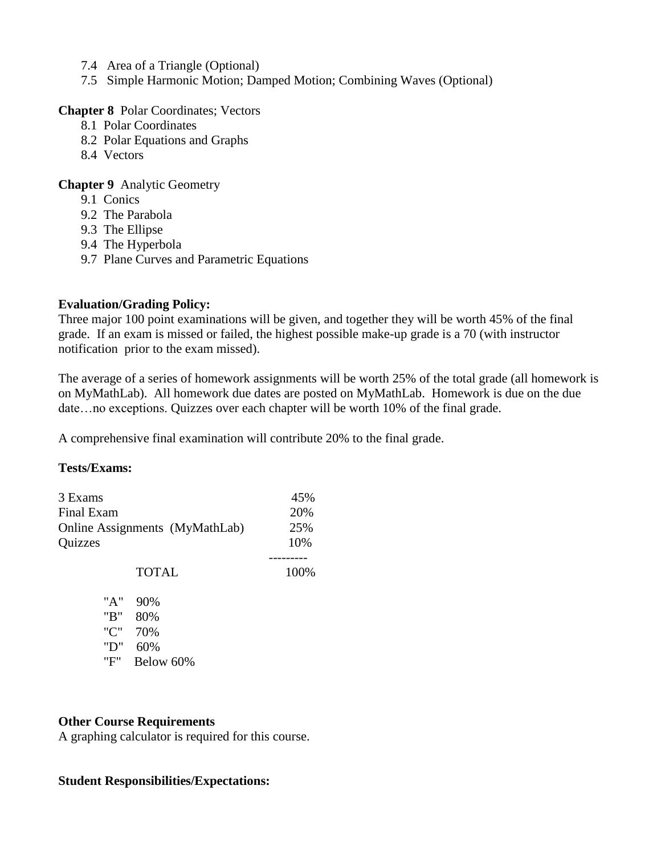- 7.4 Area of a Triangle (Optional)
- 7.5 Simple Harmonic Motion; Damped Motion; Combining Waves (Optional)

#### **Chapter 8** Polar Coordinates; Vectors

- 8.1 Polar Coordinates
- 8.2 Polar Equations and Graphs
- 8.4 Vectors

#### **Chapter 9** Analytic Geometry

- 9.1 Conics
- 9.2 The Parabola
- 9.3 The Ellipse
- 9.4 The Hyperbola
- 9.7 Plane Curves and Parametric Equations

#### **Evaluation/Grading Policy:**

Three major 100 point examinations will be given, and together they will be worth 45% of the final grade. If an exam is missed or failed, the highest possible make-up grade is a 70 (with instructor notification prior to the exam missed).

The average of a series of homework assignments will be worth 25% of the total grade (all homework is on MyMathLab). All homework due dates are posted on MyMathLab. Homework is due on the due date…no exceptions. Quizzes over each chapter will be worth 10% of the final grade.

A comprehensive final examination will contribute 20% to the final grade.

#### **Tests/Exams:**

| 3 Exams<br>Final Exam<br>Online Assignments (MyMathLab)<br>Quizzes | 45%<br>20%<br>25%<br>10% |      |
|--------------------------------------------------------------------|--------------------------|------|
|                                                                    | <b>TOTAL</b>             | 100% |
| "A"<br>"B"                                                         | 90%<br>80%               |      |
| "C"<br>"D"<br>"F"                                                  | 70%<br>60%<br>Below 60%  |      |

#### **Other Course Requirements**

A graphing calculator is required for this course.

#### **Student Responsibilities/Expectations:**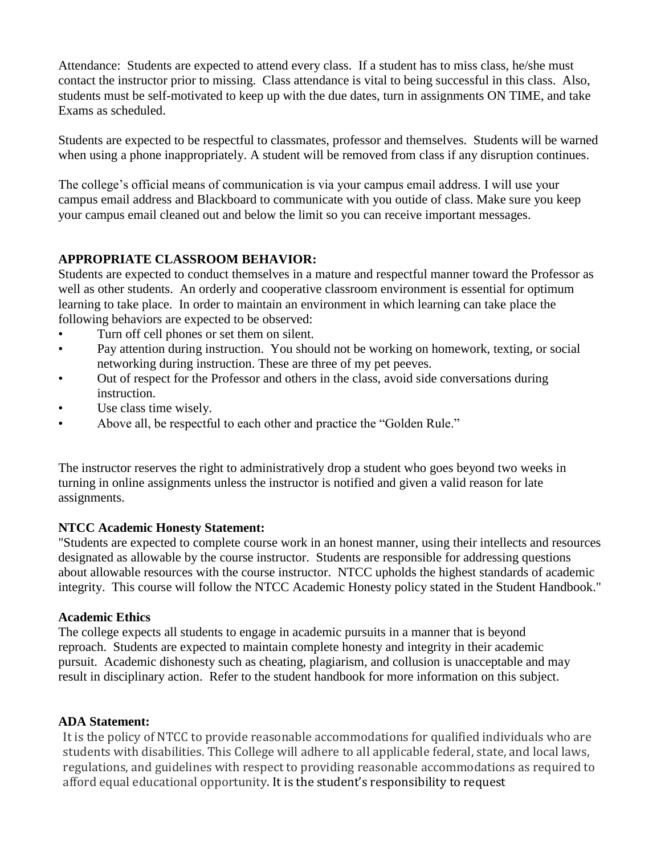Attendance: Students are expected to attend every class. If a student has to miss class, he/she must contact the instructor prior to missing. Class attendance is vital to being successful in this class. Also, students must be self-motivated to keep up with the due dates, turn in assignments ON TIME, and take Exams as scheduled.

Students are expected to be respectful to classmates, professor and themselves. Students will be warned when using a phone inappropriately. A student will be removed from class if any disruption continues.

The college's official means of communication is via your campus email address. I will use your campus email address and Blackboard to communicate with you outide of class. Make sure you keep your campus email cleaned out and below the limit so you can receive important messages.

# **APPROPRIATE CLASSROOM BEHAVIOR:**

Students are expected to conduct themselves in a mature and respectful manner toward the Professor as well as other students. An orderly and cooperative classroom environment is essential for optimum learning to take place. In order to maintain an environment in which learning can take place the following behaviors are expected to be observed:

- Turn off cell phones or set them on silent.
- Pay attention during instruction. You should not be working on homework, texting, or social networking during instruction. These are three of my pet peeves.
- Out of respect for the Professor and others in the class, avoid side conversations during instruction.
- Use class time wisely.
- Above all, be respectful to each other and practice the "Golden Rule."

The instructor reserves the right to administratively drop a student who goes beyond two weeks in turning in online assignments unless the instructor is notified and given a valid reason for late assignments.

### **NTCC Academic Honesty Statement:**

"Students are expected to complete course work in an honest manner, using their intellects and resources designated as allowable by the course instructor. Students are responsible for addressing questions about allowable resources with the course instructor. NTCC upholds the highest standards of academic integrity. This course will follow the NTCC Academic Honesty policy stated in the Student Handbook."

### **Academic Ethics**

The college expects all students to engage in academic pursuits in a manner that is beyond reproach. Students are expected to maintain complete honesty and integrity in their academic pursuit. Academic dishonesty such as cheating, plagiarism, and collusion is unacceptable and may result in disciplinary action. Refer to the student handbook for more information on this subject.

# **ADA Statement:**

It is the policy of NTCC to provide reasonable accommodations for qualified individuals who are students with disabilities. This College will adhere to all applicable federal, state, and local laws, regulations, and guidelines with respect to providing reasonable accommodations as required to afford equal educational opportunity. It is the student's responsibility to request